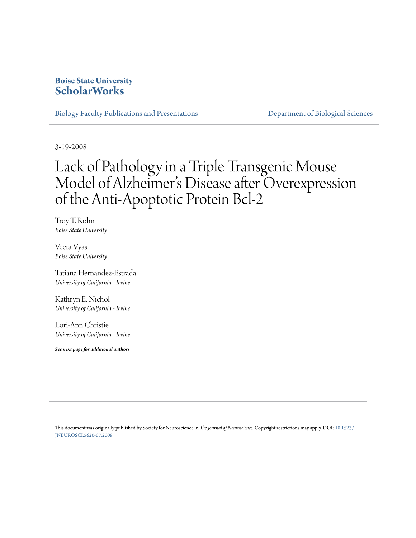### **Boise State University [ScholarWorks](https://scholarworks.boisestate.edu)**

[Biology Faculty Publications and Presentations](https://scholarworks.boisestate.edu/bio_facpubs) **[Department of Biological Sciences](https://scholarworks.boisestate.edu/biosciences)** 

3-19-2008

# Lack of Pathology in a Triple Transgenic Mouse Model of Alzheimer 's Disease after Overexpression of the Anti-Apoptotic Protein Bcl-2

Troy T. Rohn *Boise State University*

Veera Vyas *Boise State University*

Tatiana Hernandez-Estrada *University of California - Irvine*

Kathryn E. Nichol *University of California - Irvine*

Lori-Ann Christie *University of California - Irvine*

*See next page for additional authors*

This document was originally published by Society for Neuroscience in *The Journal of Neuroscience.* Copyright restrictions may apply. DOI: [10.1523/](http://dx.doi.org/10.1523/JNEUROSCI.5620-07.2008) [JNEUROSCI.5620-07.2008](http://dx.doi.org/10.1523/JNEUROSCI.5620-07.2008)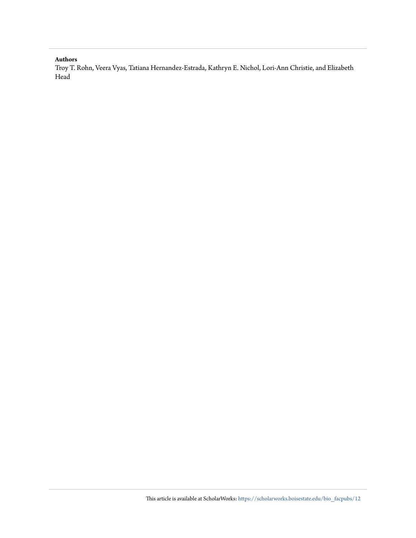#### **Authors**

Troy T. Rohn, Veera Vyas, Tatiana Hernandez-Estrada, Kathryn E. Nichol, Lori-Ann Christie, and Elizabeth Head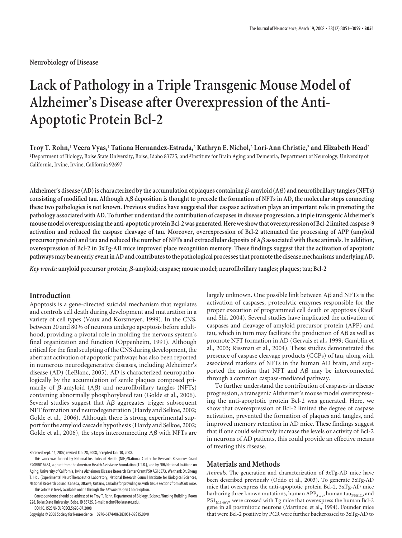## **Lack of Pathology in a Triple Transgenic Mouse Model of Alzheimer's Disease after Overexpression of the Anti-Apoptotic Protein Bcl-2**

**Troy T. Rohn,**<sup>1</sup> **Veera Vyas,**<sup>1</sup> **Tatiana Hernandez-Estrada,**<sup>2</sup> **Kathryn E. Nichol,**<sup>2</sup> **Lori-Ann Christie,**<sup>2</sup> **and Elizabeth Head**<sup>2</sup> <sup>1</sup>Department of Biology, Boise State University, Boise, Idaho 83725, and <sup>2</sup>Institute for Brain Aging and Dementia, Department of Neurology, University of California, Irvine, Irvine, California 92697

**Alzheimer's disease (AD) is characterized by the accumulation of plaques containing-amyloid (A) and neurofibrillary tangles (NFTs)** consisting of modified tau. Although  $\Delta\beta$  deposition is thought to precede the formation of NFTs in AD, the molecular steps connecting **these two pathologies is not known. Previous studies have suggested that caspase activation plays an important role in promoting the pathology associated with AD. To further understand the contribution of caspases in disease progression, a triple transgenic Alzheimer's mousemodel overexpressingthe anti-apoptotic protein Bcl-2 was generated.Here we showthat overexpression of Bcl-2 limited caspase-9 activation and reduced the caspase cleavage of tau. Moreover, overexpression of Bcl-2 attenuated the processing of APP (amyloid precursor protein) and tau and reduced the number of NFTs and extracellular deposits of A associated with these animals. In addition, overexpression of Bcl-2 in 3xTg-AD mice improved place recognition memory. These findings suggest that the activation of apoptotic pathways may be an early event in AD and contributestothe pathological processesthat promotethe disease mechanisms underlying AD.**

*Key words:* amyloid precursor protein; β-amyloid; caspase; mouse model; neurofibrillary tangles; plaques; tau; Bcl-2

#### **Introduction**

Apoptosis is a gene-directed suicidal mechanism that regulates and controls cell death during development and maturation in a variety of cell types (Vaux and Korsmeyer, 1999). In the CNS, between 20 and 80% of neurons undergo apoptosis before adulthood, providing a pivotal role in molding the nervous system's final organization and function (Oppenheim, 1991). Although critical for the final sculpting of the CNS during development, the aberrant activation of apoptotic pathways has also been reported in numerous neurodegenerative diseases, including Alzheimer's disease (AD) (LeBlanc, 2005). AD is characterized neuropathologically by the accumulation of senile plaques composed primarily of  $\beta$ -amyloid (A $\beta$ ) and neurofibrillary tangles (NFTs) containing abnormally phosphorylated tau (Golde et al., 2006). Several studies suggest that  $A\beta$  aggregates trigger subsequent NFT formation and neurodegeneration (Hardy and Selkoe, 2002; Golde et al., 2006). Although there is strong experimental support for the amyloid cascade hypothesis (Hardy and Selkoe, 2002; Golde et al., 2006), the steps interconnecting  $\text{A}\beta$  with NFTs are

Received Sept. 14, 2007; revised Jan. 28, 2008; accepted Jan. 30, 2008.

This article is freely available online through the*J Neurosci* Open Choice option.

Correspondence should be addressed to Troy T. Rohn, Department of Biology, Science/Nursing Building, Room 228, Boise State University, Boise, ID 83725. E-mail: trohn@boisestate.edu.

DOI:10.1523/JNEUROSCI.5620-07.2008

Copyright © 2008 Society for Neuroscience 0270-6474/08/283051-09\$15.00/0

largely unknown. One possible link between  $A\beta$  and NFTs is the activation of caspases, proteolytic enzymes responsible for the proper execution of programmed cell death or apoptosis (Riedl and Shi, 2004). Several studies have implicated the activation of caspases and cleavage of amyloid precursor protein (APP) and tau, which in turn may facilitate the production of  $A\beta$  as well as promote NFT formation in AD (Gervais et al., 1999; Gamblin et al., 2003; Rissman et al., 2004). These studies demonstrated the presence of caspase cleavage products (CCPs) of tau, along with associated markers of NFTs in the human AD brain, and supported the notion that NFT and  $\overline{AB}$  may be interconnected through a common caspase-mediated pathway.

To further understand the contribution of caspases in disease progression, a transgenic Alzheimer's mouse model overexpressing the anti-apoptotic protein Bcl-2 was generated. Here, we show that overexpression of Bcl-2 limited the degree of caspase activation, prevented the formation of plaques and tangles, and improved memory retention in AD mice. These findings suggest that if one could selectively increase the levels or activity of Bcl-2 in neurons of AD patients, this could provide an effective means of treating this disease.

#### **Materials and Methods**

*Animals.* The generation and characterization of 3xTg-AD mice have been described previously (Oddo et al., 2003). To generate 3xTg-AD mice that overexpress the anti-apoptotic protein Bcl-2, 3xTg-AD mice harboring three known mutations, human APP<sub>Swe</sub>, human tau<sub>P301L</sub>, and  $PS1<sub>M146V</sub>$ , were crossed with Tg mice that overexpress the human Bcl-2 gene in all postmitotic neurons (Martinou et al., 1994). Founder mice that were Bcl-2 positive by PCR were further backcrossed to 3xTg-AD to

This work was funded by National Institutes of Health (NIH)/National Center for Research Resources Grant P20RR016454, a grant from the American Health Assistance Foundation (T.T.R.), and by NIH/National Institute on Aging, University of California, Irvine Alzheimers Disease Research Center Grant P50 AG16573. We thank Dr. Sheng T. Hou (Experimental NeuroTherapeutics Laboratory, National Research Council Institute for Biological Sciences, National Research Council Canada, Ottawa, Ontario, Canada) for providing us with tissue sections from MCAO mice.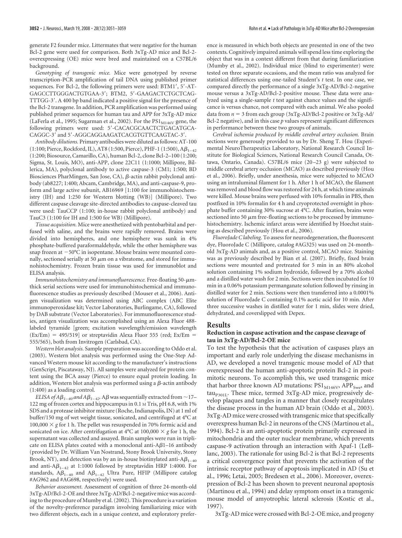generate F2 founder mice. Littermates that were negative for the human Bcl-2 gene were used for comparison. Both 3xTg-AD mice and Bcl-2 overexpressing (OE) mice were bred and maintained on a C57BL/6 background.

*Genotyping of transgenic mice.* Mice were genotyped by reverse transcription-PCR amplification of tail DNA using published primer sequences. For Bcl-2, the following primers were used: BTM1', 5'-AT-GAGCCTTGGGACTGTGAA-3; BTM2, 5-GAAGACTCTGCTCAG-TTTGG-3'. A 400 bp band indicated a positive signal for the presence of the Bcl-2 transgene. In addition, PCR amplification was performed using published primer sequences for human tau and APP for 3xTg-AD mice (LaFerla et al., 1995; Sugarman et al., 2002). For the  $PS1<sub>M146V</sub>$  gene, the following primers were used: 5'-CACACGCAACTCTGACATGCA-CAGGC-3' and 5'-AGGCAGGAAGATCACGTGTTCAAGTAC-3'.

*Antibody dilutions.* Primary antibodies were diluted as follows: AT-100 (1:100; Pierce, Rockford, IL), AT8 (1:500, Pierce), PHF-1 (1:500),  $A\beta_{1-42}$ (1:200; Biosource, Camarillo, CA), human Bcl-2, clone Bcl-2–100 (1:200; Sigma, St. Louis, MO), anti-APP, clone 22C11 (1:1000; Millipore, Billerica, MA), polyclonal antibody to active caspase-3 (CM1; 1:500; BD Biosciences PharMingen, San Jose, CA),  $\beta$ -actin rabbit polyclonal antibody (ab8227; 1:400; Abcam, Cambridge, MA), and anti-caspase-9, proform and large active subunit, AB16969 [1:100 for immunohistochemistry (IH) and 1:250 for Western blotting (WB)] (Millipore). Two different caspase cleavage site-directed antibodies to caspase-cleaved tau were used: TauCCP (1:100; in-house rabbit polyclonal antibody) and TauC3 (1:100 for IH and 1:500 for WB) (Millipore).

*Tissue acquisition.* Mice were anesthetized with pentobarbital and perfused with saline, and the brains were rapidly removed. Brains were divided into hemispheres, and one hemisphere was sunk in 4% phosphate-buffered paraformaldehyde, while the other hemisphere was snap frozen at  $-50^{\circ}$ C in isopentane. Mouse brains were mounted coronally, sectioned serially at 50  $\mu$ m on a vibratome, and stored for immunohistochemistry. Frozen brain tissue was used for immunoblot and ELISA analysis.

Immunohistochemistry and immunofluorescence. Free-floating 50-μmthick serial sections were used for immunohistochemical and immunofluorescence studies as previously described (Mouser et al., 2006). Antigen visualization was determined using ABC complex (ABC Elite immunoperoxidase kit; Vector Laboratories, Burlingame, CA), followed by DAB substrate (Vector Laboratories). For immunofluorescence studies, antigen visualization was accomplished using an Alexa Fluor 488 labeled tyramide [green; excitation wavelength/emission wavelength  $(Ex/Em)$  = 495/519] or streptavidin Alexa Fluor 555 (red; Ex/Em = 555/565), both from Invitrogen (Carlsbad, CA).

*Western blot analysis.* Sample preparation was according to Oddo et al. (2003). Western blot analysis was performed using the One-Step Advanced Western mouse kit according to the manufacturer's instructions (GenScript, Piscataway, NJ). All samples were analyzed for protein content using the BCA assay (Pierce) to ensure equal protein loading. In addition, Western blot analysis was performed using a  $\beta$ -actin antibody (1:400) as a loading control.

*ELISA of A* $\beta_{1-40}$  *and A* $\beta_{1-42}$ *.* A $\beta$  was sequentially extracted from  $\sim$  17– 122 mg of frozen cortex and hippocampus in 0.1 M Tris, pH 6.8, with 1% SDS and a protease inhibitor mixture (Roche, Indianapolis, IN) at 1 ml of buffer/150 mg of wet weight tissue, sonicated, and centrifuged at 4°C at 100,000  $\times$  g for 1 h. The pellet was resuspended in 70% formic acid and sonicated on ice. After centrifugation at  $4^{\circ}$ C at  $100,000 \times g$  for 1 h, the supernatant was collected and assayed. Brain samples were run in triplicate on ELISA plates coated with a monoclonal anti-A $\beta$ 1-16 antibody (provided by Dr. William Van Nostrand, Stony Brook University, Stony Brook, NY), and detection was by an in-house biotinylated anti-A $\beta_{1-40}$ and anti- $A\beta_{1-42}$  at 1:1000 followed by streptavidin HRP 1:4000. For standards,  $A\beta_{1-40}$  and  $A\beta_{1-42}$  Ultra Pure, HFIP (Millipore catalog #AG962 and #AG698, respectively) were used.

*Behavior assessment.* Assessment of cognition of three 24-month-old 3xTg-AD/Bcl-2-OE and three 3xTg-AD/Bcl-2-negative mice was according to the procedure of Mumby et al. (2002). This procedure is a variation of the novelty-preference paradigm involving familiarizing mice with two different objects, each in a unique context, and exploratory preference is measured in which both objects are presented in one of the two contexts. Cognitively impaired animals will spend less time exploring the object that was in a context different from that during familiarization (Mumby et al., 2002). Individual mice (blind to experimenter) were tested on three separate occasions, and the mean ratio was analyzed for statistical differences using one-tailed Student's *t* test. In one case, we compared directly the performance of a single 3xTg-AD/Bcl-2-negative mouse versus a 3xTg-AD/Bcl-2-positive mouse. These data were analyzed using a single-sample *t* test against chance values and the significance is versus chance, not compared with each animal. We also pooled data from  $n = 3$  from each group (3xTg-AD/Bcl-2 positive or 3xTg-Ad/ Bcl-2 negative), and in this case *p* values represent significant differences in performance between these two groups of animals.

*Cerebral ischemia produced by middle cerebral artery occlusion.* Brain sections were generously provided to us by Dr. Sheng T. Hou (Experimental NeuroTherapeutics Laboratory, National Research Council Institute for Biological Sciences, National Research Council Canada, Ottawa, Ontario, Canada). C57BL/6 mice (20 –23 g) were subjected to middle cerebral artery occlusion (MCAO) as described previously (Hou et al., 2006). Briefly, under anesthesia, mice were subjected to MCAO using an intraluminal filament for 1 h. After 1 h of MCAO, the filament was removed and blood flow was restored for 24 h, at which time animals were killed. Mouse brains were perfused with 10% formalin in PBS, then postfixed in 10% formalin for 4 h and cryoprotected overnight in phosphate buffer containing 30% sucrose at 4°C. After fixation, brains were sectioned into 50  $\mu$ m free-floating sections to be processed by immunohistochemistry. Ischemic infarct areas were identified by Hoechst staining as described previously (Hou et al., 2006).

*FluoroJade C labeling.* To assess for neurodegeneration, the fluorescent dye, FluoroJade C (Millipore, catalog #AG325) was used on 24-monthold 3xTg-AD animals and, as a positive control, MCAO mice. Staining was as previously described by Bian et al. (2007). Briefly, fixed brain sections were mounted and pretreated for 5 min in an 80% alcohol solution containing 1% sodium hydroxide, followed by a 70% alcohol and a distilled water wash for 2 min. Sections were then incubated for 10 min in a 0.06% potassium permanganate solution followed by rinsing in distilled water for 2 min. Sections were then transferred into a 0.0001% solution of FluoroJade C containing 0.1% acetic acid for 10 min. After three successive washes in distilled water for 1 min, slides were dried, dehydrated, and coverslipped with Depex.

#### **Results**

#### **Reduction in caspase activation and the caspase cleavage of tau in 3xTg-AD/Bcl-2-OE mice**

To test the hypothesis that the activation of caspases plays an important and early role underlying the disease mechanisms in AD, we developed a novel transgenic mouse model of AD that overexpressed the human anti-apoptotic protein Bcl-2 in postmitotic neurons. To accomplish this, we used transgenic mice that harbor three known AD mutations:  $PS1_{M146V}$ , APP<sub>Swe</sub>, and  $tau_{9301L}$ . These mice, termed  $3xTg$ -AD mice, progressively develop plaques and tangles in a manner that closely recapitulates the disease process in the human AD brain (Oddo et al., 2003). 3xTg-AD mice were crossed with transgenic mice that specifically overexpress human Bcl-2 in neurons of the CNS (Martinou et al., 1994). Bcl-2 is an anti-apoptotic protein primarily expressed in mitochondria and the outer nuclear membrane, which prevents caspase-9 activation through an interaction with Apaf-1 (LeBlanc, 2003). The rationale for using Bcl-2 is that Bcl-2 represents a critical convergence point that prevents the activation of the intrinsic receptor pathway of apoptosis implicated in AD (Su et al., 1996; Letai, 2005; Bredesen et al., 2006). Moreover, overexpression of Bcl-2 has been shown to prevent neuronal apoptosis (Martinou et al., 1994) and delay symptom onset in a transgenic mouse model of amyotrophic lateral sclerosis (Kostic et al., 1997).

3xTg-AD mice were crossed with Bcl-2-OE mice, and progeny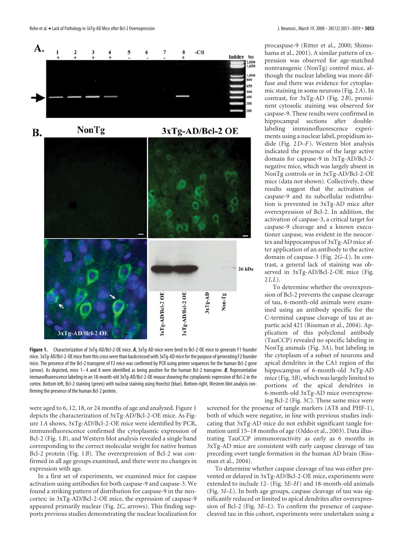

**Figure 1.** Characterization of 3xTg-AD/Bcl-2-OE mice. *A*, 3xTg-AD mice were bred to Bcl-2-OE mice to generate F1 founder mice. 3xTg-AD/Bcl-2-OE mice from this cross were than backcrossed with 3xTg-AD mice for the purpose of generating F2 founder mice. The presence of the Bcl-2 transgene of F2 mice was confirmed by PCR using primer sequences for the human Bcl-2 gene (arrow). As depicted, mice 1– 4 and 8 were identified as being positive for the human Bcl-2 transgene. *B*, Representative immunofluorescence labeling in an 18-month-old 3xTg-AD/Bcl-2-OE mouse showing the cytoplasmic expression of Bcl-2 in the cortex. Bottom left, Bcl-2 staining (green) with nuclear staining using Hoechst (blue). Bottom right, Western blot analysis confirming the presence of the human Bcl-2 protein.

were aged to 6, 12, 18, or 24 months of age and analyzed. Figure 1 depicts the characterization of 3xTg-AD/Bcl-2-OE mice. As Figure 1*A* shows, 3xTg-AD/Bcl-2-OE mice were identified by PCR, immunofluorescence confirmed the cytoplasmic expression of Bcl-2 (Fig. 1*B*), and Western blot analysis revealed a single band corresponding to the correct molecular weight for native human Bcl-2 protein (Fig. 1*B*). The overexpression of Bcl-2 was confirmed in all age groups examined, and there were no changes in expression with age.

In a first set of experiments, we examined mice for caspase activation using antibodies for both caspase-9 and caspase-3. We found a striking pattern of distribution for caspase-9 in the neocortex: in 3xTg-AD/Bcl-2-OE mice, the expression of caspase-9 appeared primarily nuclear (Fig. 2*C*, arrows). This finding supports previous studies demonstrating the nuclear localization for

procaspase-9 (Ritter et al., 2000; Shimohama et al., 2001). A similar pattern of expression was observed for age-matched nontransgenic (NonTg) control mice, although the nuclear labeling was more diffuse and there was evidence for cytoplasmic staining in some neurons (Fig. 2*A*). In contrast, for 3xTg-AD (Fig. 2*B*), prominent cytosolic staining was observed for caspase-9. These results were confirmed in hippocampal sections after doublelabeling immunofluorescence experiments using a nuclear label, propidium iodide (Fig. 2*D–F*). Western blot analysis indicated the presence of the large active domain for caspase-9 in 3xTg-AD/Bcl-2 negative mice, which was largely absent in NonTg controls or in 3xTg-AD/Bcl-2-OE mice (data not shown). Collectively, these results suggest that the activation of caspase-9 and its subcellular redistribution is prevented in 3xTg-AD mice after overexpression of Bcl-2. In addition, the activation of caspase-3, a critical target for caspase-9 cleavage and a known executioner caspase, was evident in the neocortex and hippocampus of 3xTg-AD mice after application of an antibody to the active domain of caspase-3 (Fig. 2*G–L*). In contrast, a general lack of staining was observed in 3xTg-AD/Bcl-2-OE mice (Fig. 2*I*,*L*).

To determine whether the overexpression of Bcl-2 prevents the caspase cleavage of tau, 6-month-old animals were examined using an antibody specific for the C-terminal caspase cleavage of tau at aspartic acid 421 (Rissman et al., 2004). Application of this polyclonal antibody (TauCCP) revealed no specific labeling in NonTg animals (Fig. 3*A*), but labeling in the cytoplasm of a subset of neurons and apical dendrites in the CA1 region of the hippocampus of 6-month-old 3xTg-AD mice (Fig. 3*B*), which was largely limited to portions of the apical dendrites in 6-month-old 3xTg-AD mice overexpressing Bcl-2 (Fig. 3*C*). These same mice were

screened for the presence of tangle markers (AT8 and PHF-1), both of which were negative, in line with previous studies indicating that 3xTg-AD mice do not exhibit significant tangle formation until 15–18 months of age (Oddo et al., 2003). Data illustrating TauCCP immunoreactivity as early as 6 months in 3xTg-AD mice are consistent with early caspase cleavage of tau preceding overt tangle formation in the human AD brain (Rissman et al., 2004).

To determine whether caspase cleavage of tau was either prevented or delayed in 3xTg-AD/Bcl-2-OE mice, experiments were extended to include 12- (Fig. 3*E–H*) and 18-month-old animals (Fig. 3*I–L*). In both age groups, caspase cleavage of tau was significantly reduced or limited to apical dendrites after overexpression of Bcl-2 (Fig. 3*E–L*). To confirm the presence of caspasecleaved tau in this cohort, experiments were undertaken using a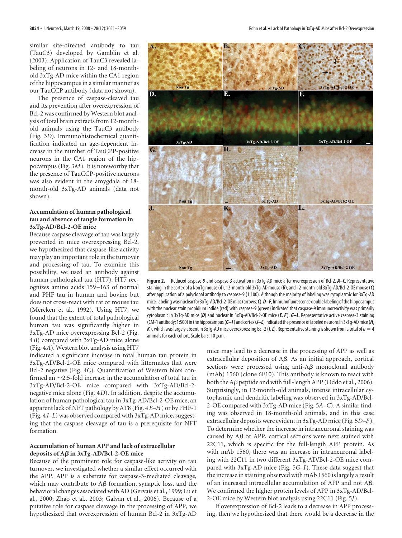similar site-directed antibody to tau (TauC3) developed by Gamblin et al. (2003). Application of TauC3 revealed labeling of neurons in 12- and 18-monthold 3xTg-AD mice within the CA1 region of the hippocampus in a similar manner as our TauCCP antibody (data not shown).

The presence of caspase-cleaved tau and its prevention after overexpression of Bcl-2 was confirmed by Western blot analysis of total brain extracts from 12-monthold animals using the TauC3 antibody (Fig. 3*D*). Immunohistochemical quantification indicated an age-dependent increase in the number of TauCPP-positive neurons in the CA1 region of the hippocampus (Fig. 3*M*). It is noteworthy that the presence of TauCCP-positive neurons was also evident in the amygdala of 18 month-old 3xTg-AD animals (data not shown).

#### **Accumulation of human pathological tau and absence of tangle formation in 3xTg-AD/Bcl-2-OE mice**

Because caspase cleavage of tau was largely prevented in mice overexpressing Bcl-2, we hypothesized that caspase-like activity may play an important role in the turnover and processing of tau. To examine this possibility, we used an antibody against human pathological tau (HT7). HT7 recognizes amino acids 159 –163 of normal and PHF tau in human and bovine but does not cross-react with rat or mouse tau (Mercken et al., 1992). Using HT7, we found that the extent of total pathological human tau was significantly higher in 3xTg-AD mice overexpressing Bcl-2 (Fig. 4*B*) compared with 3xTg-AD mice alone (Fig. 4*A*). Western blot analysis using HT7



**Figure 2.** Reduced caspase-9 and caspase-3 activation in 3xTg-AD mice after overexpression of Bcl-2. *A–C*, Representative staining in the cortex of a NonTg mouse (*A*), 12-month-old 3xTg-AD mouse (*B*), and 12-month-old 3xTg-AD/Bcl-2-OE mouse (*C*) after application of a polyclonal antibody to caspase-9 (1:100). Although the majority of labeling was cytoplasmic for 3xTg-AD mice, labelingwas nuclearfor 3xTg-AD/Bcl-2-OEmice(arrows;*C*).*D–F*, Immunofluorescence double labeling ofthe hippocampus with the nuclear stain propidium iodide (red) with caspase-9 (green) indicated that caspase-9 immunoreactivity was primarily cytoplasmic in 3xTg-AD mice (*D*) and nuclear in 3xTg-AD/Bcl-2-OE mice (*E*, *F*). *G–L*, Representative active caspase-3 staining (CM-1 antibody; 1:500) inthe hippocampus(*G–I*) and cortex(*J–L*) indicatedthe presence of labeled neurons in 3xTg-ADmice(*H*, K), which was largely absent in 3xTg-AD mice overexpressing Bcl-2 (I, L). Representative staining is shown from a total of  $n = 4$ animals for each cohort. Scale bars, 10  $\mu$ m.

indicated a significant increase in total human tau protein in 3xTg-AD/Bcl-2-OE mice compared with littermates that were Bcl-2 negative (Fig. 4*C*). Quantification of Western blots confirmed an  $\sim$ 2.5-fold increase in the accumulation of total tau in 3xTg-AD/Bcl-2-OE mice compared with 3xTg-AD/Bcl-2 negative mice alone (Fig. 4*D*). In addition, despite the accumulation of human pathological tau in 3xTg-AD/Bcl-2-OE mice, an apparent lack of NFT pathology by AT8 (Fig. 4*E–H*) or by PHF-1 (Fig. 4*I–L*) was observed compared with 3xTg-AD mice, suggesting that the caspase cleavage of tau is a prerequisite for NFT formation.

#### **Accumulation of human APP and lack of extracellular deposits of A in 3xTg-AD/Bcl-2-OE mice**

Because of the prominent role for caspase-like activity on tau turnover, we investigated whether a similar effect occurred with the APP. APP is a substrate for caspase-3-mediated cleavage, which may contribute to  $A\beta$  formation, synaptic loss, and the behavioral changes associated with AD (Gervais et al., 1999; Lu et al., 2000; Zhao et al., 2003; Galvan et al., 2006). Because of a putative role for caspase cleavage in the processing of APP, we hypothesized that overexpression of human Bcl-2 in 3xTg-AD

mice may lead to a decrease in the processing of APP as well as extracellular deposition of  $A\beta$ . As an initial approach, cortical sections were processed using anti- $A\beta$  monoclonal antibody (mAb) 1560 (clone 6E10). This antibody is known to react with both the A $\beta$  peptide and with full-length APP (Oddo et al., 2006). Surprisingly, in 12-month-old animals, intense intracellular cytoplasmic and dendritic labeling was observed in 3xTg-AD/Bcl-2-OE compared with 3xTg-AD mice (Fig. 5*A–C*). A similar finding was observed in 18-month-old animals, and in this case extracellular deposits were evident in 3xTg-AD mice (Fig. 5*D–F*). To determine whether the increase in intraneuronal staining was caused by  $A\beta$  or APP, cortical sections were next stained with 22C11, which is specific for the full-length APP protein. As with mAb 1560, there was an increase in intraneuronal labeling with 22C11 in two different 3xTg-AD/Bcl-2-OE mice compared with 3xTg-AD mice (Fig. 5*G–I*). These data suggest that the increase in staining observed with mAb 1560 is largely a result of an increased intracellular accumulation of APP and not  $A\beta$ . We confirmed the higher protein levels of APP in 3xTg-AD/Bcl-2-OE mice by Western blot analysis using 22C11 (Fig. 5*J*).

If overexpression of Bcl-2 leads to a decrease in APP processing, then we hypothesized that there would be a decrease in the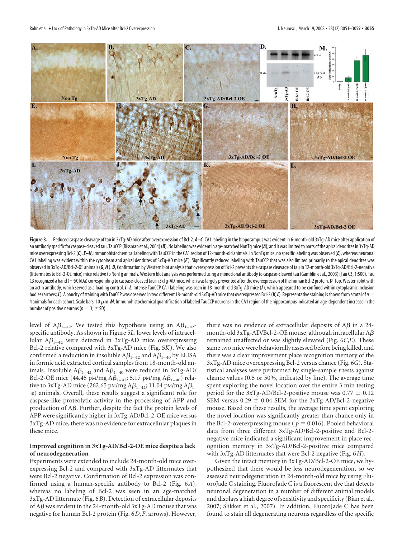

Figure 3. Reduced caspase cleavage of tau in 3xTg-AD mice after overexpression of Bcl-2. A–C, CA1 labeling in the hippocampus was evident in 6-month-old 3xTg-AD mice after application of an antibodyspecific for caspase-cleavedtau, TauCCP(Rissman et al., 2004)(*B*). No labeling was evident in age-matched NonTgmice(*A*), and it was limitedto parts ofthe apical dendrites in 3xTg-AD mice overexpressing Bcl-2(*C*).*E–H*, Immunohistochemical labeling with TauCCP inthe CA1region of 12-month-old animals. In NonTgmice, nospecific labeling was observed(*E*), whereas neuronal CA1 labeling was evident within the cytoplasm and apical dendrites of 3xTq-AD mice (F). Significantly reduced labeling with TauCCP that was also limited primarily to the apical dendrites was observed in 3xTg-AD/Bcl-2-OE animals (*G*, *H*). *D*, Confirmation by Western blot analysis that overexpression of Bcl-2 prevents the caspase cleavage of tau in 12-month-old 3xTg-AD/Bcl-2-negative (littermates to Bcl-2-OE mice) mice relative to NonTg animals. Western blot analysis was performed using a monoclonal antibody to caspase-cleaved tau (Gamblin et al., 2003) (Tau C3, 1:500). Tau C3 recognized a band (~50 kDa) corresponding to caspase-cleaved tau in 3xTg-AD mice, which was largely prevented after the overexpression of the human Bcl-2 protein. *D*, Top, Western blot with an actin antibody, which served as a loading control. *I–L*, Intense TauCCP CA1 labeling was seen in 18-month-old 3xTg-AD mice (*I*), which appeared to be confined within cytoplasmic inclusion bodies (arrows; J). A paucity of staining with TauCCP was observed in two different 18-month-old 3xTg-AD mice that overexpressed Bcl-2 (*K*, *L*). Representative staining is shown from a total of  $n = 1$ 4 animals for each cohort. Scale bars, 10  $\mu$ m.*M*, Immunohistochemical quantification of labeled TauCCP neurons in the CA1 region of the hippocampus indicated an age-dependent increase in the number of positive neurons ( $n = 3$ ;  $\pm$  SD).

level of A $\beta_{1-42}$ . We tested this hypothesis using an A $\beta_{1-42}$ specific antibody. As shown in Figure 5*L*, lower levels of intracellular  $A\beta_{1-42}$  were detected in 3xTg-AD mice overexpressing Bcl-2 relative compared with 3xTg-AD mice (Fig. 5*K*). We also confirmed a reduction in insoluble  $A\beta_{1-42}$  and  $A\beta_{1-40}$  by ELISA in formic acid extracted cortical samples from 18-month-old animals. Insoluble  $A\beta_{1-42}$  and  $A\beta_{1-40}$  were reduced in 3xTg-AD/ Bcl-2-OE mice (44.45 pM/mg  $A\beta_{1-42}$ ; 5.17 pM/mg  $A\beta_{1-40}$ ) relative to 3xTg-AD mice (262.65 pM/mg  $A\beta_{1-42}$ ; 11.04 pM/mg  $A\beta_{1-42}$ 40) animals. Overall, these results suggest a significant role for caspase-like proteolytic activity in the processing of APP and production of  $A\beta$ . Further, despite the fact the protein levels of APP were significantly higher in 3xTg-AD/Bcl-2-OE mice versus 3xTg-AD mice, there was no evidence for extracellular plaques in these mice.

#### **Improved cognition in 3xTg-AD/Bcl-2-OE mice despite a lack of neurodegeneration**

Experiments were extended to include 24-month-old mice overexpressing Bcl-2 and compared with 3xTg-AD littermates that were Bcl-2 negative. Confirmation of Bcl-2 expression was confirmed using a human-specific antibody to Bcl-2 (Fig. 6*A*), whereas no labeling of Bcl-2 was seen in an age-matched 3xTg-AD littermate (Fig. 6*B*). Detection of extracellular deposits of  $A\beta$  was evident in the 24-month-old 3xTg-AD mouse that was negative for human Bcl-2 protein (Fig. 6*D*,*F*, arrows). However,

there was no evidence of extracellular deposits of  $A\beta$  in a 24month-old  $3xTg$ -AD/Bcl-2-OE mouse, although intracellular A $\beta$ remained unaffected or was slightly elevated (Fig. 6*C*,*E*). These same two mice were behaviorally assessed before being killed, and there was a clear improvement place recognition memory of the 3xTg-AD mice overexpressing Bcl-2 versus chance (Fig. 6*G*). Statistical analyses were performed by single-sample *t* tests against chance values (0.5 or 50%, indicated by line). The average time spent exploring the novel location over the entire 3 min testing period for the 3xTg-AD/Bcl-2-positive mouse was  $0.77 \pm 0.12$ SEM versus  $0.29 \pm 0.04$  SEM for the 3xTg-AD/Bcl-2-negative mouse. Based on these results, the average time spent exploring the novel location was significantly greater than chance only in the Bcl-2-overexpressing mouse ( $p = 0.016$ ). Pooled behavioral data from three different 3xTg-AD/Bcl-2-positive and Bcl-2 negative mice indicated a significant improvement in place recognition memory in 3xTg-AD/Bcl-2-positive mice compared with 3xTg-AD littermates that were Bcl-2 negative (Fig. 6*H*).

Given the intact memory in 3xTg-AD/Bcl-2-OE mice, we hypothesized that there would be less neurodegeneration, so we assessed neurodegeneration in 24-month-old mice by using FluoroJade C staining. FluoroJade C is a fluorescent dye that detects neuronal degeneration in a number of different animal models and displays a high degree of sensitivity and specificity (Bian et al., 2007; Slikker et al., 2007). In addition, FluoroJade C has been found to stain all degenerating neurons regardless of the specific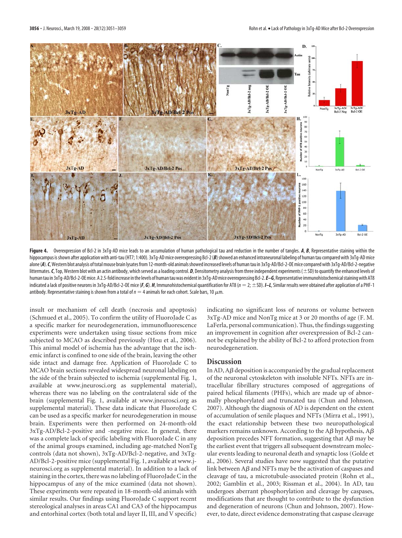

Figure 4. Overexpression of Bcl-2 in 3xTg-AD mice leads to an accumulation of human pathological tau and reduction in the number of tangles. A, B, Representative staining within the hippocampus is shown after application with anti-tau (HT7; 1:400). 3xTg-AD mice overexpressing Bcl-2 (B) showed an enhanced intraneuronal labeling of human tau compared with 3xTg-AD mice alone (A). C, Western blot analysis of total mouse brain lysates from 12-month-old animals showed increased levels of human tau in 3xTg-AD/Bcl-2-OE mice compared with 3xTg-AD/Bcl-2-negative littermates. *C*, Top, Western blot with an actin antibody, which served as a loading control. *D*, Densitometry analysis from three independent experiments ( $\pm$ SD) to quantify the enhanced levels of human tau in 3xTg-AD/Bcl-2-OE mice. A 2.5-fold increase in the levels of human tau was evident in 3xTg-AD mice overexpressing Bcl-2. E–G, Representative immunohistochemical staining with AT8 indicated a lack of positive neurons in 3xTq-AD/Bcl-2-OE mice (F, G). H, Immunohistochemical quantification for AT8 ( $n = 2$ ;  $\pm$  SD). I-L, Similar results were obtained after application of a PHF-1 antibody. Representative staining is shown from a total of  $n=4$  animals for each cohort. Scale bars, 10  $\mu$ m.

insult or mechanism of cell death (necrosis and apoptosis) (Schmued et al., 2005). To confirm the utility of FluoroJade C as a specific marker for neurodegeneration, immunofluorescence experiments were undertaken using tissue sections from mice subjected to MCAO as described previously (Hou et al., 2006). This animal model of ischemia has the advantage that the ischemic infarct is confined to one side of the brain, leaving the other side intact and damage free. Application of FluoroJade C to MCAO brain sections revealed widespread neuronal labeling on the side of the brain subjected to ischemia (supplemental Fig. 1, available at www.jneurosci.org as supplemental material), whereas there was no labeling on the contralateral side of the brain (supplemental Fig. 1, available at www.jneurosci.org as supplemental material). These data indicate that FluoroJade C can be used as a specific marker for neurodegeneration in mouse brain. Experiments were then performed on 24-month-old 3xTg-AD/Bcl-2-positive and -negative mice. In general, there was a complete lack of specific labeling with FluoroJade C in any of the animal groups examined, including age-matched NonTg controls (data not shown), 3xTg-AD/Bcl-2-negative, and 3xTg-AD/Bcl-2-positive mice (supplemental Fig. 1, available at www.jneurosci.org as supplemental material). In addition to a lack of staining in the cortex, there was no labeling of FluoroJade C in the hippocampus of any of the mice examined (data not shown). These experiments were repeated in 18-month-old animals with similar results. Our findings using FluoroJade C support recent stereological analyses in areas CA1 and CA3 of the hippocampus and entorhinal cortex (both total and layer II, III, and V specific)

indicating no significant loss of neurons or volume between 3xTg-AD mice and NonTg mice at 3 or 20 months of age (F. M. LaFerla, personal communication). Thus, the findings suggesting an improvement in cognition after overexpression of Bcl-2 cannot be explained by the ability of Bcl-2 to afford protection from neurodegeneration.

#### **Discussion**

In AD,  $A\beta$  deposition is accompanied by the gradual replacement of the neuronal cytoskeleton with insoluble NFTs. NFTs are intracellular fibrillary structures composed of aggregations of paired helical filaments (PHFs), which are made up of abnormally phosphorylated and truncated tau (Chun and Johnson, 2007). Although the diagnosis of AD is dependent on the extent of accumulation of senile plaques and NFTs (Mirra et al., 1991), the exact relationship between these two neuropathological markers remains unknown. According to the A $\beta$  hypothesis, A $\beta$ deposition precedes NFT formation, suggesting that  $A\beta$  may be the earliest event that triggers all subsequent downstream molecular events leading to neuronal death and synaptic loss (Golde et al., 2006). Several studies have now suggested that the putative link between  $A\beta$  and NFTs may be the activation of caspases and cleavage of tau, a microtubule-associated protein (Rohn et al., 2002; Gamblin et al., 2003; Rissman et al., 2004). In AD, tau undergoes aberrant phosphorylation and cleavage by caspases, modifications that are thought to contribute to the dysfunction and degeneration of neurons (Chun and Johnson, 2007). However, to date, direct evidence demonstrating that caspase cleavage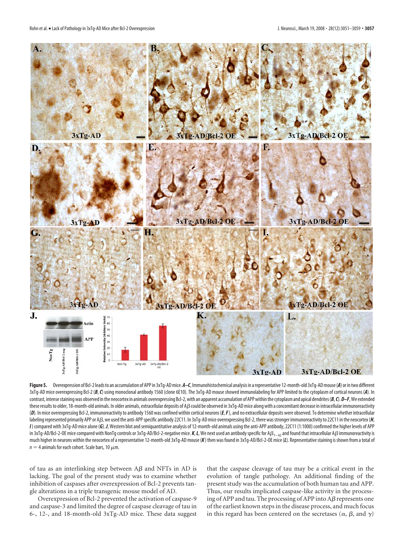

**Figure 5.** Overexpression of Bcl-2 leadsto an accumulation of APP in 3xTg-ADmice. *A–C*, Immunohistochemical analysis in arepresentative 12-month-old 3xTg-ADmouse(*A*) or intwo different 3xTg-AD mice overexpressing Bcl-2 (*B*,*C*) using monoclonal antibody 1560 (clone 6E10). The 3xTg-AD mouse showed immunolabeling for APP limited to the cytoplasm of cortical neurons (*A*). In contrast, intense staining was observed in the neocortex in animals overexpressing Bcl-2, with an apparent accumulation of APP within the cytoplasm and apical dendrites (*B*, *C*). *D–F*, We extended these results to older, 18-month-old animals. In older animals, extracellular deposits of AB could be observed in 3xTg-AD mice along with a concomitant decrease in intracellular immunoreactivity (*D*). In mice overexpressing Bcl-2, immunoreactivity to antibody 1560 was confined within cortical neurons (*E*,*F*), and no extracellular deposits were observed. To determine whether intracellular labeling represented primarily APP or A $\beta$ , we used the anti-APP specific antibody 22C11. In 3xTq-AD mice overexpressing Bcl-2, there was stronger immunoreactivity to 22C11 in the neocortex (*H*, *I*) compared with 3xTg-AD mice alone (*G*). *J*, Western blot and semiquantitative analysis of 12-month-old animals using the anti-APP antibody, 22C11 (1:1000) confirmed the higher levels of APP in 3xTg-AD/Bcl-2-OE mice compared with NonTg controls or 3xTg-AD/Bcl-2-negative mice. **K**, *L*, We next used an antibody specific for A $\beta_{1-4}$  and found that intracellular A $\beta$  immunoreactivity is much higher in neurons within the neocortex of a representative 12-month-old 3xTg-AD mouse (*K* ) then was found in 3xTg-AD/Bcl-2-OE mice (*L*). Representativestaining isshown from a total of  $n=4$  animals for each cohort. Scale bars, 10  $\mu$ m.

of tau as an interlinking step between  $A\beta$  and NFTs in AD is lacking. The goal of the present study was to examine whether inhibition of caspases after overexpression of Bcl-2 prevents tangle alterations in a triple transgenic mouse model of AD.

Overexpression of Bcl-2 prevented the activation of caspase-9 and caspase-3 and limited the degree of caspase cleavage of tau in 6-, 12-, and 18-month-old 3xTg-AD mice. These data suggest

that the caspase cleavage of tau may be a critical event in the evolution of tangle pathology. An additional finding of the present study was the accumulation of both human tau and APP. Thus, our results implicated caspase-like activity in the processing of APP and tau. The processing of APP into  $A\beta$  represents one of the earliest known steps in the disease process, and much focus in this regard has been centered on the secretases ( $\alpha$ ,  $\beta$ , and  $\gamma$ )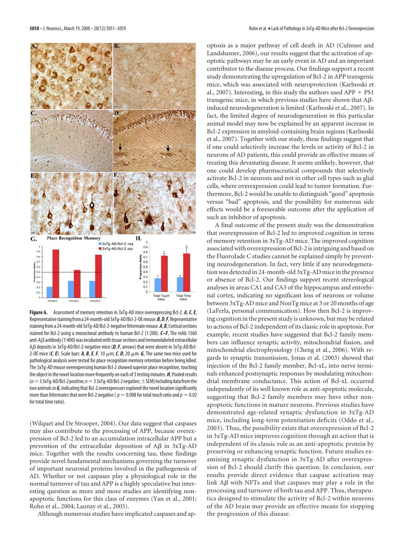

**Figure 6.** Assessment of memory retention in 3xTg-AD mice overexpressing Bcl-2. *A*,*C*,*E*, Representativestainingfrom a 24-month-old 3xTg-AD/Bcl-2-OEmouse.*B*,*D*,*F*, Representative stainingfrom a 24-month-old 3xTg-AD/Bcl-2-negative littermatemouse.*A*,*B*, Corticalsections stained for Bcl-2 using a monoclonal antibody to human Bcl-2 (1:200). *C–F*, The mAb 1560 anti-A $\beta$  antibody (1:400) was incubated with tissue sections and immunolabeled extracellular A deposits in 3xTg-AD/Bcl-2-negative mice (*D*,*F*, arrows) that were absent in 3xTg-AD/Bcl-2-OE mice (*C, E*). Scale bars: *A, B, E, F,* 10  $\mu$ m; *C, D,* 20  $\mu$ m. *G,* The same two mice used for pathological analysis were tested for place recognition memory retention before being killed. The 3xTg-AD mouse overexpressing human Bcl-2 showed superior place recognition, touching the object in the novel location more frequently on each of 3 testing minutes. *H*, Pooled results  $(n=3 3xTg$ -AD/Bcl-2 positive;  $n=3 3xTg$ -AD/Bcl-2 negative;  $\pm$  SEM) including data from the two animals in G, indicating that Bcl-2 overexpressors explored the novel location significantly more than littermates that were Bcl-2 negative ( $p = 0.008$  for total touch ratio and  $p = 0.02$ for total time ratio).

(Wilquet and De Strooper, 2004). Our data suggest that caspases may also contribute to the processing of APP, because overexpression of Bcl-2 led to an accumulation intracellular APP but a prevention of the extracellular deposition of  $A\beta$  in 3xTg-AD mice. Together with the results concerning tau, these findings provide novel fundamental mechanisms governing the turnover of important neuronal proteins involved in the pathogenesis of AD. Whether or not caspases play a physiological role in the normal turnover of tau and APP is a highly speculative but interesting question as more and more studies are identifying nonapoptotic functions for this class of enzymes (Yan et al., 2001; Rohn et al., 2004; Launay et al., 2005).

Although numerous studies have implicated caspases and ap-

optosis as a major pathway of cell death in AD (Culmsee and Landshamer, 2006), our results suggest that the activation of apoptotic pathways may be an early event in AD and an important contributor to the disease process. Our findings support a recent study demonstrating the upregulation of Bcl-2 in APP transgenic mice, which was associated with neuroprotection (Karlnoski et al., 2007). Interesting, in this study the authors used  $APP + PS1$ transgenic mice, in which previous studies have shown that  $A\beta$ induced neurodegeneration is limited (Karlnoski et al., 2007). In fact, the limited degree of neurodegeneration in this particular animal model may now be explained by an apparent increase in Bcl-2 expression in amyloid-containing brain regions (Karlnoski et al., 2007). Together with our study, these findings suggest that if one could selectively increase the levels or activity of Bcl-2 in neurons of AD patients, this could provide an effective means of treating this devastating disease. It seems unlikely, however, that one could develop pharmaceutical compounds that selectively activate Bcl-2 in neurons and not in other cell types such as glial cells, where overexpression could lead to tumor formation. Furthermore, Bcl-2 would be unable to distinguish "good" apoptosis versus "bad" apoptosis, and the possibility for numerous side effects would be a foreseeable outcome after the application of such an inhibitor of apoptosis.

A final outcome of the present study was the demonstration that overexpression of Bcl-2 led to improved cognition in terms of memory retention in 3xTg-AD mice. The improved cognition associated with overexpression of Bcl-2 is intriguing and based on the FluoroJade C studies cannot be explained simply by preventing neurodegeneration. In fact, very little if any neurodegeneration was detected in 24-month-old 3xTg-AD mice in the presence or absence of Bcl-2. Our findings support recent stereological analyses in areas CA1 and CA3 of the hippocampus and entorhinal cortex, indicating no significant loss of neurons or volume between 3xTg-AD mice and NonTg mice at 3 or 20 months of age (LaFerla, personal communication). How then Bcl-2 is improving cognition in the present study is unknown, but may be related to actions of Bcl-2 independent of its classic role in apoptosis. For example, recent studies have suggested that Bcl-2 family members can influence synaptic activity, mitochondrial fission, and mitochondrial electrophysiology (Cheng et al., 2006). With regards to synaptic transmission, Jonas et al. (2003) showed that injection of the Bcl-2 family member, Bcl-xL, into nerve terminals enhanced postsynaptic responses by modulating mitochondrial membrane conductance. This action of Bcl-xL occurred independently of its well known role as anti-apoptotic molecule, suggesting that Bcl-2 family members may have other nonapoptotic functions in mature neurons. Previous studies have demonstrated age-related synaptic dysfunction in 3xTg-AD mice, including long-term potentiation deficits (Oddo et al., 2003). Thus, the possibility exists that overexpression of Bcl-2 in 3xTg-AD mice improves cognition through an action that is independent of its classic role as an anti-apoptotic protein by preserving or enhancing synaptic function. Future studies examining synaptic dysfunction in 3xTg-AD after overexpression of Bcl-2 should clarify this question. In conclusion, our results provide direct evidence that caspase activation may link  $A\beta$  with NFTs and that caspases may play a role in the processing and turnover of both tau and APP. Thus, therapeutics designed to stimulate the activity of Bcl-2 within neurons of the AD brain may provide an effective means for stopping the progression of this disease.